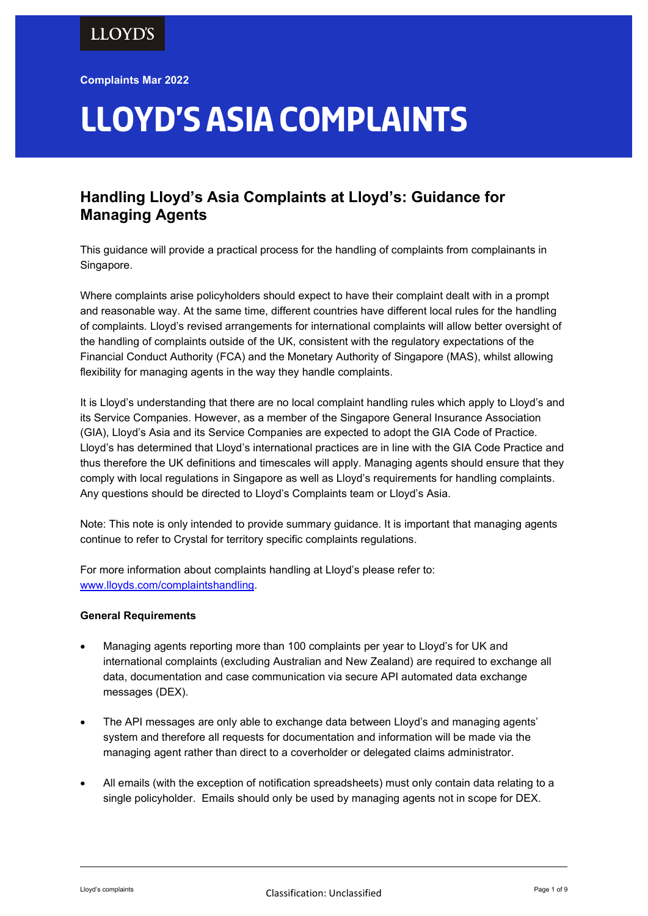Complaints Mar 2022

# Lloyd's Asia complaints

# Handling Lloyd's Asia Complaints at Lloyd's: Guidance for Managing Agents

This guidance will provide a practical process for the handling of complaints from complainants in Singapore.

Where complaints arise policyholders should expect to have their complaint dealt with in a prompt and reasonable way. At the same time, different countries have different local rules for the handling of complaints. Lloyd's revised arrangements for international complaints will allow better oversight of the handling of complaints outside of the UK, consistent with the regulatory expectations of the Financial Conduct Authority (FCA) and the Monetary Authority of Singapore (MAS), whilst allowing flexibility for managing agents in the way they handle complaints.

It is Lloyd's understanding that there are no local complaint handling rules which apply to Lloyd's and its Service Companies. However, as a member of the Singapore General Insurance Association (GIA), Lloyd's Asia and its Service Companies are expected to adopt the GIA Code of Practice. Lloyd's has determined that Lloyd's international practices are in line with the GIA Code Practice and thus therefore the UK definitions and timescales will apply. Managing agents should ensure that they comply with local regulations in Singapore as well as Lloyd's requirements for handling complaints. Any questions should be directed to Lloyd's Complaints team or Lloyd's Asia.

Note: This note is only intended to provide summary guidance. It is important that managing agents continue to refer to Crystal for territory specific complaints regulations.

For more information about complaints handling at Lloyd's please refer to: www.lloyds.com/complaintshandling.

# General Requirements

- Managing agents reporting more than 100 complaints per year to Lloyd's for UK and international complaints (excluding Australian and New Zealand) are required to exchange all data, documentation and case communication via secure API automated data exchange messages (DEX).
- The API messages are only able to exchange data between Lloyd's and managing agents' system and therefore all requests for documentation and information will be made via the managing agent rather than direct to a coverholder or delegated claims administrator.
- All emails (with the exception of notification spreadsheets) must only contain data relating to a single policyholder. Emails should only be used by managing agents not in scope for DEX.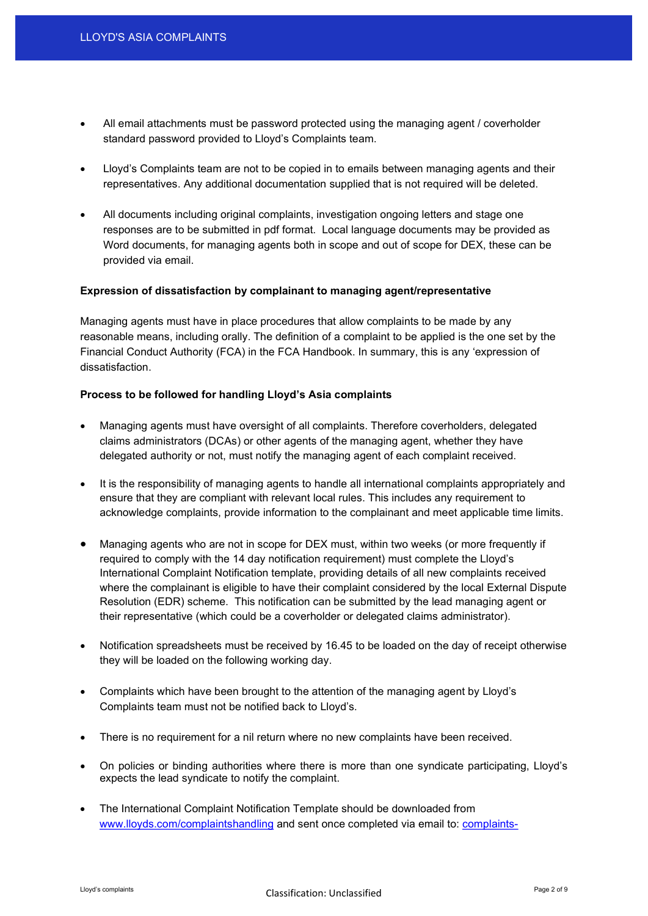- All email attachments must be password protected using the managing agent / coverholder standard password provided to Lloyd's Complaints team.
- Lloyd's Complaints team are not to be copied in to emails between managing agents and their representatives. Any additional documentation supplied that is not required will be deleted.
- All documents including original complaints, investigation ongoing letters and stage one responses are to be submitted in pdf format. Local language documents may be provided as Word documents, for managing agents both in scope and out of scope for DEX, these can be provided via email.

#### Expression of dissatisfaction by complainant to managing agent/representative

Managing agents must have in place procedures that allow complaints to be made by any reasonable means, including orally. The definition of a complaint to be applied is the one set by the Financial Conduct Authority (FCA) in the FCA Handbook. In summary, this is any 'expression of dissatisfaction.

#### Process to be followed for handling Lloyd's Asia complaints

- Managing agents must have oversight of all complaints. Therefore coverholders, delegated claims administrators (DCAs) or other agents of the managing agent, whether they have delegated authority or not, must notify the managing agent of each complaint received.
- It is the responsibility of managing agents to handle all international complaints appropriately and ensure that they are compliant with relevant local rules. This includes any requirement to acknowledge complaints, provide information to the complainant and meet applicable time limits.
- Managing agents who are not in scope for DEX must, within two weeks (or more frequently if required to comply with the 14 day notification requirement) must complete the Lloyd's International Complaint Notification template, providing details of all new complaints received where the complainant is eligible to have their complaint considered by the local External Dispute Resolution (EDR) scheme. This notification can be submitted by the lead managing agent or their representative (which could be a coverholder or delegated claims administrator).
- Notification spreadsheets must be received by 16.45 to be loaded on the day of receipt otherwise they will be loaded on the following working day.
- Complaints which have been brought to the attention of the managing agent by Lloyd's Complaints team must not be notified back to Lloyd's.
- There is no requirement for a nil return where no new complaints have been received.
- On policies or binding authorities where there is more than one syndicate participating, Lloyd's expects the lead syndicate to notify the complaint.
- The International Complaint Notification Template should be downloaded from www.lloyds.com/complaintshandling and sent once completed via email to: complaints-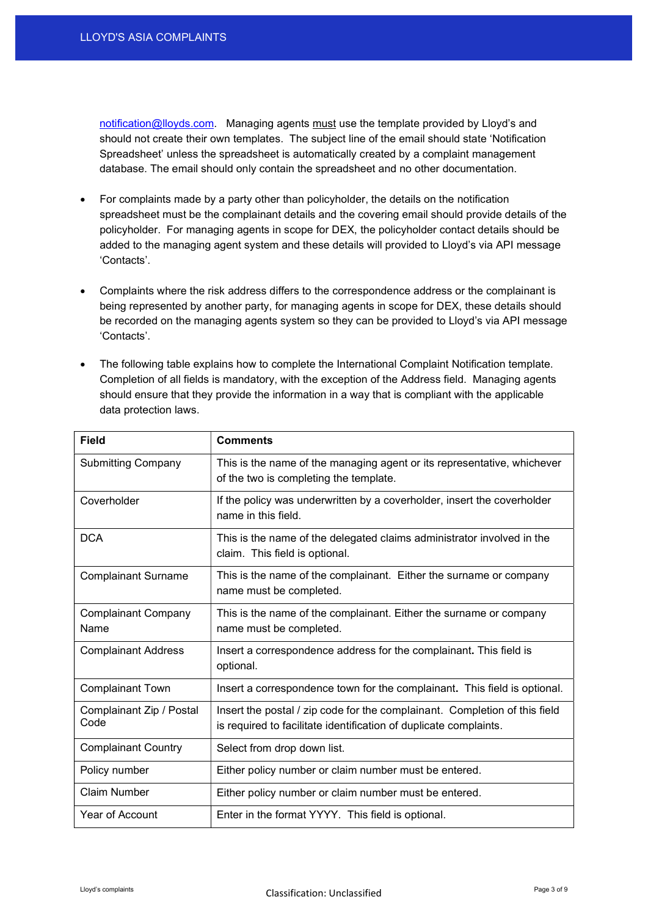notification@lloyds.com. Managing agents must use the template provided by Lloyd's and should not create their own templates. The subject line of the email should state 'Notification Spreadsheet' unless the spreadsheet is automatically created by a complaint management database. The email should only contain the spreadsheet and no other documentation.

- For complaints made by a party other than policyholder, the details on the notification spreadsheet must be the complainant details and the covering email should provide details of the policyholder. For managing agents in scope for DEX, the policyholder contact details should be added to the managing agent system and these details will provided to Lloyd's via API message 'Contacts'.
- Complaints where the risk address differs to the correspondence address or the complainant is being represented by another party, for managing agents in scope for DEX, these details should be recorded on the managing agents system so they can be provided to Lloyd's via API message 'Contacts'.
- The following table explains how to complete the International Complaint Notification template. Completion of all fields is mandatory, with the exception of the Address field. Managing agents should ensure that they provide the information in a way that is compliant with the applicable data protection laws.

| <b>Field</b>                       | <b>Comments</b>                                                                                                                                 |
|------------------------------------|-------------------------------------------------------------------------------------------------------------------------------------------------|
| <b>Submitting Company</b>          | This is the name of the managing agent or its representative, whichever<br>of the two is completing the template.                               |
| Coverholder                        | If the policy was underwritten by a coverholder, insert the coverholder<br>name in this field.                                                  |
| <b>DCA</b>                         | This is the name of the delegated claims administrator involved in the<br>claim. This field is optional.                                        |
| <b>Complainant Surname</b>         | This is the name of the complainant. Either the surname or company<br>name must be completed.                                                   |
| <b>Complainant Company</b><br>Name | This is the name of the complainant. Either the surname or company<br>name must be completed.                                                   |
| <b>Complainant Address</b>         | Insert a correspondence address for the complainant. This field is<br>optional.                                                                 |
| <b>Complainant Town</b>            | Insert a correspondence town for the complainant. This field is optional.                                                                       |
| Complainant Zip / Postal<br>Code   | Insert the postal / zip code for the complainant. Completion of this field<br>is required to facilitate identification of duplicate complaints. |
| <b>Complainant Country</b>         | Select from drop down list.                                                                                                                     |
| Policy number                      | Either policy number or claim number must be entered.                                                                                           |
| <b>Claim Number</b>                | Either policy number or claim number must be entered.                                                                                           |
| Year of Account                    | Enter in the format YYYY. This field is optional.                                                                                               |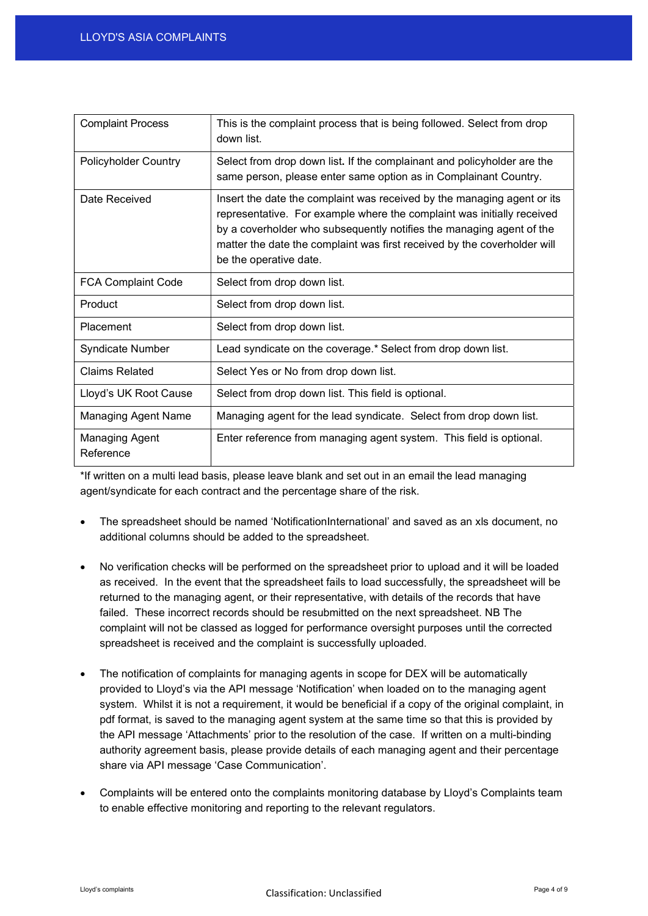| <b>Complaint Process</b>           | This is the complaint process that is being followed. Select from drop<br>down list.                                                                                                                                                                                                                                            |
|------------------------------------|---------------------------------------------------------------------------------------------------------------------------------------------------------------------------------------------------------------------------------------------------------------------------------------------------------------------------------|
| <b>Policyholder Country</b>        | Select from drop down list. If the complainant and policyholder are the<br>same person, please enter same option as in Complainant Country.                                                                                                                                                                                     |
| Date Received                      | Insert the date the complaint was received by the managing agent or its<br>representative. For example where the complaint was initially received<br>by a coverholder who subsequently notifies the managing agent of the<br>matter the date the complaint was first received by the coverholder will<br>be the operative date. |
| <b>FCA Complaint Code</b>          | Select from drop down list.                                                                                                                                                                                                                                                                                                     |
| Product                            | Select from drop down list.                                                                                                                                                                                                                                                                                                     |
| Placement                          | Select from drop down list.                                                                                                                                                                                                                                                                                                     |
| <b>Syndicate Number</b>            | Lead syndicate on the coverage.* Select from drop down list.                                                                                                                                                                                                                                                                    |
| <b>Claims Related</b>              | Select Yes or No from drop down list.                                                                                                                                                                                                                                                                                           |
| Lloyd's UK Root Cause              | Select from drop down list. This field is optional.                                                                                                                                                                                                                                                                             |
| <b>Managing Agent Name</b>         | Managing agent for the lead syndicate. Select from drop down list.                                                                                                                                                                                                                                                              |
| <b>Managing Agent</b><br>Reference | Enter reference from managing agent system. This field is optional.                                                                                                                                                                                                                                                             |

\*If written on a multi lead basis, please leave blank and set out in an email the lead managing agent/syndicate for each contract and the percentage share of the risk.

- The spreadsheet should be named 'NotificationInternational' and saved as an xls document, no additional columns should be added to the spreadsheet.
- No verification checks will be performed on the spreadsheet prior to upload and it will be loaded as received. In the event that the spreadsheet fails to load successfully, the spreadsheet will be returned to the managing agent, or their representative, with details of the records that have failed. These incorrect records should be resubmitted on the next spreadsheet. NB The complaint will not be classed as logged for performance oversight purposes until the corrected spreadsheet is received and the complaint is successfully uploaded.
- The notification of complaints for managing agents in scope for DEX will be automatically provided to Lloyd's via the API message 'Notification' when loaded on to the managing agent system. Whilst it is not a requirement, it would be beneficial if a copy of the original complaint, in pdf format, is saved to the managing agent system at the same time so that this is provided by the API message 'Attachments' prior to the resolution of the case. If written on a multi-binding authority agreement basis, please provide details of each managing agent and their percentage share via API message 'Case Communication'.
- Complaints will be entered onto the complaints monitoring database by Lloyd's Complaints team to enable effective monitoring and reporting to the relevant regulators.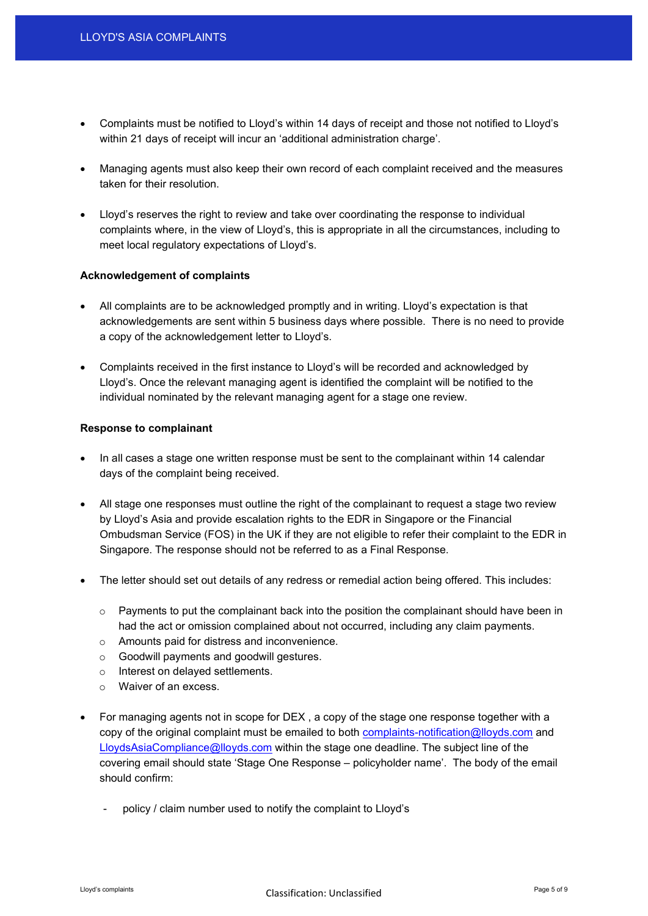- Complaints must be notified to Lloyd's within 14 days of receipt and those not notified to Lloyd's within 21 days of receipt will incur an 'additional administration charge'.
- Managing agents must also keep their own record of each complaint received and the measures taken for their resolution.
- Lloyd's reserves the right to review and take over coordinating the response to individual complaints where, in the view of Lloyd's, this is appropriate in all the circumstances, including to meet local regulatory expectations of Lloyd's.

#### Acknowledgement of complaints

- All complaints are to be acknowledged promptly and in writing. Lloyd's expectation is that acknowledgements are sent within 5 business days where possible. There is no need to provide a copy of the acknowledgement letter to Lloyd's.
- Complaints received in the first instance to Lloyd's will be recorded and acknowledged by Lloyd's. Once the relevant managing agent is identified the complaint will be notified to the individual nominated by the relevant managing agent for a stage one review.

#### Response to complainant

- In all cases a stage one written response must be sent to the complainant within 14 calendar days of the complaint being received.
- All stage one responses must outline the right of the complainant to request a stage two review by Lloyd's Asia and provide escalation rights to the EDR in Singapore or the Financial Ombudsman Service (FOS) in the UK if they are not eligible to refer their complaint to the EDR in Singapore. The response should not be referred to as a Final Response.
- The letter should set out details of any redress or remedial action being offered. This includes:
	- $\circ$  Payments to put the complainant back into the position the complainant should have been in had the act or omission complained about not occurred, including any claim payments.
	- o Amounts paid for distress and inconvenience.
	- o Goodwill payments and goodwill gestures.
	- o Interest on delayed settlements.
	- o Waiver of an excess.
- For managing agents not in scope for DEX , a copy of the stage one response together with a copy of the original complaint must be emailed to both complaints-notification@lloyds.com and LloydsAsiaCompliance@lloyds.com within the stage one deadline. The subject line of the covering email should state 'Stage One Response – policyholder name'. The body of the email should confirm:
	- policy / claim number used to notify the complaint to Lloyd's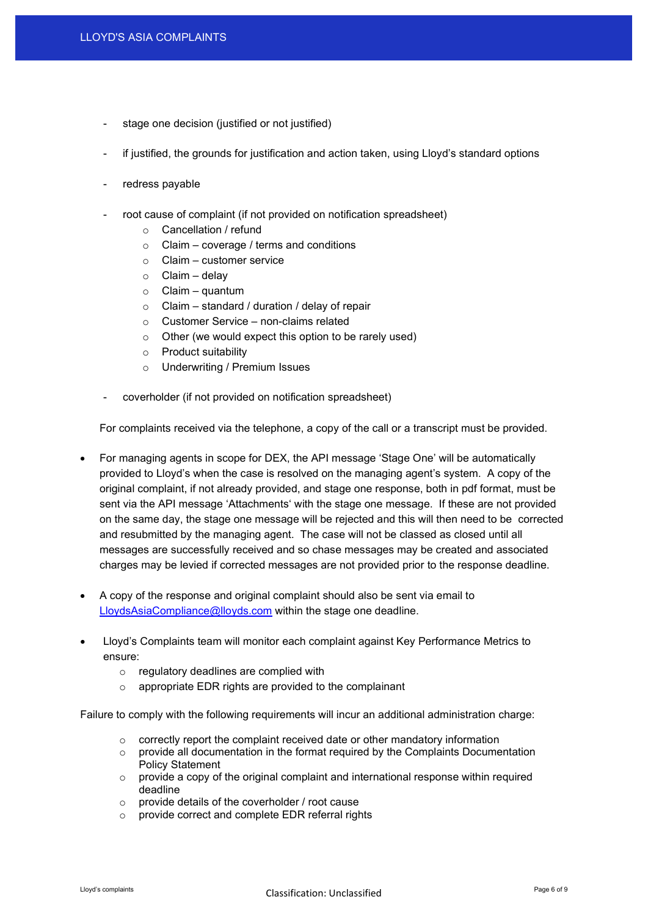- stage one decision (justified or not justified)
- if justified, the grounds for justification and action taken, using Lloyd's standard options
- redress payable
- root cause of complaint (if not provided on notification spreadsheet)
	- o Cancellation / refund
	- $\circ$  Claim coverage / terms and conditions
	- $\circ$  Claim customer service
	- $\circ$  Claim delay
	- $\circ$  Claim quantum
	- $\circ$  Claim standard / duration / delay of repair
	- o Customer Service non-claims related
	- o Other (we would expect this option to be rarely used)
	- o Product suitability
	- o Underwriting / Premium Issues
- coverholder (if not provided on notification spreadsheet)

For complaints received via the telephone, a copy of the call or a transcript must be provided.

- For managing agents in scope for DEX, the API message 'Stage One' will be automatically provided to Lloyd's when the case is resolved on the managing agent's system. A copy of the original complaint, if not already provided, and stage one response, both in pdf format, must be sent via the API message 'Attachments' with the stage one message. If these are not provided on the same day, the stage one message will be rejected and this will then need to be corrected and resubmitted by the managing agent. The case will not be classed as closed until all messages are successfully received and so chase messages may be created and associated charges may be levied if corrected messages are not provided prior to the response deadline.
- A copy of the response and original complaint should also be sent via email to LloydsAsiaCompliance@lloyds.com within the stage one deadline.
- Lloyd's Complaints team will monitor each complaint against Key Performance Metrics to ensure:
	- o regulatory deadlines are complied with
	- o appropriate EDR rights are provided to the complainant

Failure to comply with the following requirements will incur an additional administration charge:

- $\circ$  correctly report the complaint received date or other mandatory information
- $\circ$  provide all documentation in the format required by the Complaints Documentation Policy Statement
- $\circ$  provide a copy of the original complaint and international response within required deadline
- o provide details of the coverholder / root cause
- o provide correct and complete EDR referral rights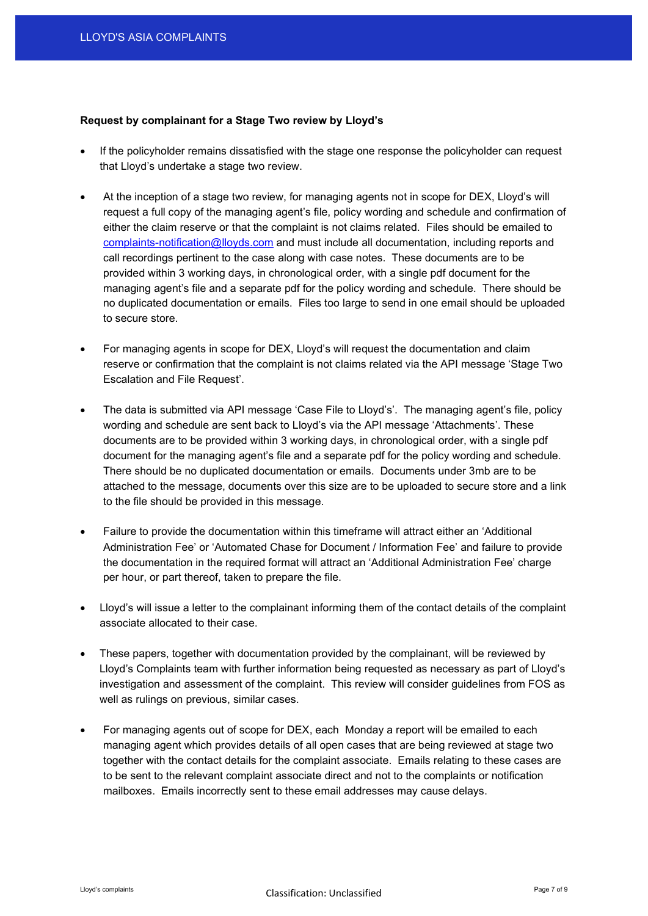#### Request by complainant for a Stage Two review by Lloyd's

- If the policyholder remains dissatisfied with the stage one response the policyholder can request that Lloyd's undertake a stage two review.
- At the inception of a stage two review, for managing agents not in scope for DEX, Lloyd's will request a full copy of the managing agent's file, policy wording and schedule and confirmation of either the claim reserve or that the complaint is not claims related. Files should be emailed to complaints-notification@lloyds.com and must include all documentation, including reports and call recordings pertinent to the case along with case notes. These documents are to be provided within 3 working days, in chronological order, with a single pdf document for the managing agent's file and a separate pdf for the policy wording and schedule. There should be no duplicated documentation or emails. Files too large to send in one email should be uploaded to secure store.
- For managing agents in scope for DEX, Lloyd's will request the documentation and claim reserve or confirmation that the complaint is not claims related via the API message 'Stage Two Escalation and File Request'.
- The data is submitted via API message 'Case File to Lloyd's'. The managing agent's file, policy wording and schedule are sent back to Lloyd's via the API message 'Attachments'. These documents are to be provided within 3 working days, in chronological order, with a single pdf document for the managing agent's file and a separate pdf for the policy wording and schedule. There should be no duplicated documentation or emails. Documents under 3mb are to be attached to the message, documents over this size are to be uploaded to secure store and a link to the file should be provided in this message.
- Failure to provide the documentation within this timeframe will attract either an 'Additional Administration Fee' or 'Automated Chase for Document / Information Fee' and failure to provide the documentation in the required format will attract an 'Additional Administration Fee' charge per hour, or part thereof, taken to prepare the file.
- Lloyd's will issue a letter to the complainant informing them of the contact details of the complaint associate allocated to their case.
- These papers, together with documentation provided by the complainant, will be reviewed by Lloyd's Complaints team with further information being requested as necessary as part of Lloyd's investigation and assessment of the complaint. This review will consider guidelines from FOS as well as rulings on previous, similar cases.
- For managing agents out of scope for DEX, each Monday a report will be emailed to each managing agent which provides details of all open cases that are being reviewed at stage two together with the contact details for the complaint associate. Emails relating to these cases are to be sent to the relevant complaint associate direct and not to the complaints or notification mailboxes. Emails incorrectly sent to these email addresses may cause delays.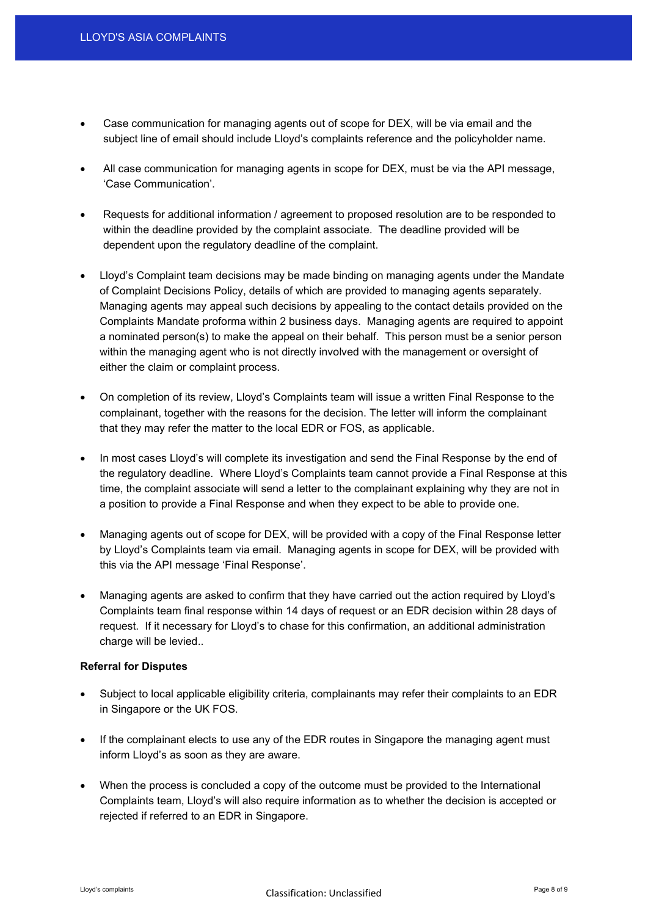- Case communication for managing agents out of scope for DEX, will be via email and the subject line of email should include Lloyd's complaints reference and the policyholder name.
- All case communication for managing agents in scope for DEX, must be via the API message, 'Case Communication'.
- Requests for additional information / agreement to proposed resolution are to be responded to within the deadline provided by the complaint associate. The deadline provided will be dependent upon the regulatory deadline of the complaint.
- Lloyd's Complaint team decisions may be made binding on managing agents under the Mandate of Complaint Decisions Policy, details of which are provided to managing agents separately. Managing agents may appeal such decisions by appealing to the contact details provided on the Complaints Mandate proforma within 2 business days. Managing agents are required to appoint a nominated person(s) to make the appeal on their behalf. This person must be a senior person within the managing agent who is not directly involved with the management or oversight of either the claim or complaint process.
- On completion of its review, Lloyd's Complaints team will issue a written Final Response to the complainant, together with the reasons for the decision. The letter will inform the complainant that they may refer the matter to the local EDR or FOS, as applicable.
- In most cases Lloyd's will complete its investigation and send the Final Response by the end of the regulatory deadline. Where Lloyd's Complaints team cannot provide a Final Response at this time, the complaint associate will send a letter to the complainant explaining why they are not in a position to provide a Final Response and when they expect to be able to provide one.
- Managing agents out of scope for DEX, will be provided with a copy of the Final Response letter by Lloyd's Complaints team via email. Managing agents in scope for DEX, will be provided with this via the API message 'Final Response'.
- Managing agents are asked to confirm that they have carried out the action required by Lloyd's Complaints team final response within 14 days of request or an EDR decision within 28 days of request. If it necessary for Lloyd's to chase for this confirmation, an additional administration charge will be levied..

# Referral for Disputes

- Subject to local applicable eligibility criteria, complainants may refer their complaints to an EDR in Singapore or the UK FOS.
- If the complainant elects to use any of the EDR routes in Singapore the managing agent must inform Lloyd's as soon as they are aware.
- When the process is concluded a copy of the outcome must be provided to the International Complaints team, Lloyd's will also require information as to whether the decision is accepted or rejected if referred to an EDR in Singapore.